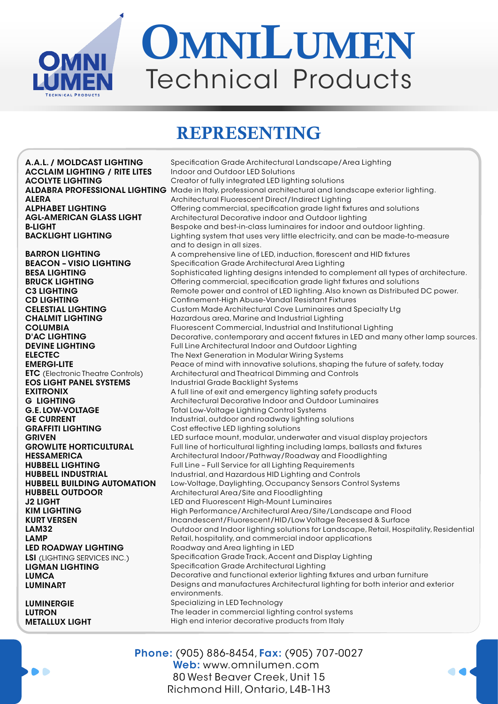

## OMNILUMEN Technical Products

## REPRESENTING

A.A.L. / MOLDCAST LIGHTING ACCLAIM LIGHTING / RITE LITES ACOLYTE LIGHTING ALERA ALPHABET LIGHTING AGL-AMERICAN GLASS LIGHT B-LIGHT BACKLIGHT LIGHTING BARRON LIGHTING BEACON – VISIO LIGHTING BESA LIGHTING BRUCK LIGHTING C3 LIGHTING CD LIGHTING CELESTIAL LIGHTING CHALMIT LIGHTING COLUMBIA D'AC LIGHTING DEVINE LIGHTING ELECTEC EMERGI-LITE **ETC** (Electronic Theatre Controls) EOS LIGHT PANEL SYSTEMS EXITRONIX G LIGHTING G.E. LOW-VOLTAGE GE CURRENT GRAFFITI LIGHTING **GRIVEN** GROWLITE HORTICULTURAL **HESSAMERICA** HUBBELL LIGHTING HUBBELL INDUSTRIAL HUBBELL BUILDING AUTOMATION HUBBELL OUTDOOR J2 LIGHT KIM LIGHTING KURT VERSEN LAM32 LAMP LED ROADWAY LIGHTING LSI (LIGHTING SERVICES INC.) LIGMAN LIGHTING **LUMCA** LUMINART

LUMINERGIE LUTRON METALLUX LIGHT

 $\bullet$ 

ALDABRA PROFESSIONAL LIGHTING Made in Italy, professional architectural and landscape exterior lighting. Specification Grade Architectural Landscape/Area Lighting Indoor and Outdoor LED Solutions Creator of fully integrated LED lighting solutions Architectural Fluorescent Direct/Indirect Lighting Offering commercial, specification grade light fixtures and solutions Architectural Decorative indoor and Outdoor lighting Bespoke and best-in-class luminaires for indoor and outdoor lighting. Lighting system that uses very little electricity, and can be made-to-measure and to design in all sizes. A comprehensive line of LED, induction, florescent and HID fixtures Specification Grade Architectural Area Lighting Sophisticated lighting designs intended to complement all types of architecture. Offering commercial, specification grade light fixtures and solutions Remote power and control of LED lighting. Also known as Distributed DC power. Confinement-High Abuse-Vandal Resistant Fixtures Custom Made Architectural Cove Luminaires and Specialty Ltg Hazardous area, Marine and Industrial Lighting Fluorescent Commercial, Industrial and Institutional Lighting Decorative, contemporary and accent fixtures in LED and many other lamp sources. Full Line Architectural Indoor and Outdoor Lighting The Next Generation in Modular Wiring Systems Peace of mind with innovative solutions, shaping the future of safety, today Architectural and Theatrical Dimming and Controls Industrial Grade Backlight Systems A full line of exit and emergency lighting safety products Architectural Decorative Indoor and Outdoor Luminaires Total Low-Voltage Lighting Control Systems Industrial, outdoor and roadway lighting solutions Cost effective LED lighting solutions LED surface mount, modular, underwater and visual display projectors Full line of horticultural lighting including lamps, ballasts and fixtures Architectural Indoor/Pathway/Roadway and Floodlighting Full Line – Full Service for all Lighting Requirements Industrial, and Hazardous HID Lighting and Controls Low-Voltage, Daylighting, Occupancy Sensors Control Systems Architectural Area/Site and Floodlighting LED and Fluorescent High-Mount Luminaires High Performance/Architectural Area/Site/Landscape and Flood Incandescent/Fluorescent/HID/Low Voltage Recessed & Surface Outdoor and Indoor lighting solutions for Landscape, Retail, Hospitality, Residential Retail, hospitality, and commercial indoor applications Roadway and Area lighting in LED Specification Grade Track, Accent and Display Lighting Specification Grade Architectural Lighting Decorative and functional exterior lighting fixtures and urban furniture Designs and manufactures Architectural lighting for both interior and exterior environments. Specializing in LED Technology The leader in commercial lighting control systems High end interior decorative products from Italy

> Phone: (905) 886-8454, Fax: (905) 707-0027 Web: www.omnilumen.com 80 West Beaver Creek, Unit 15 Richmond Hill, Ontario, L4B-1H3